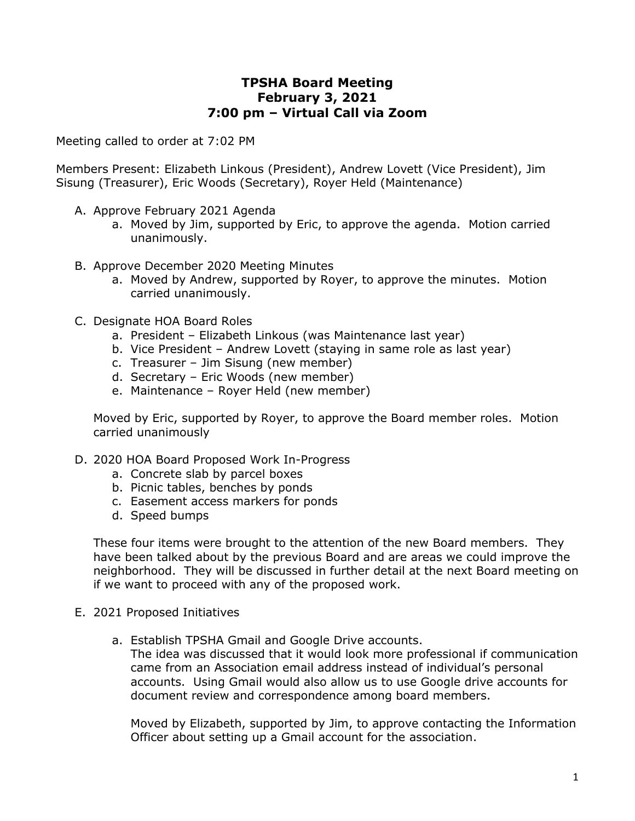## **TPSHA Board Meeting February 3, 2021 7:00 pm – Virtual Call via Zoom**

Meeting called to order at 7:02 PM

Members Present: Elizabeth Linkous (President), Andrew Lovett (Vice President), Jim Sisung (Treasurer), Eric Woods (Secretary), Royer Held (Maintenance)

- A. Approve February 2021 Agenda
	- a. Moved by Jim, supported by Eric, to approve the agenda. Motion carried unanimously.
- B. Approve December 2020 Meeting Minutes
	- a. Moved by Andrew, supported by Royer, to approve the minutes. Motion carried unanimously.
- C. Designate HOA Board Roles
	- a. President Elizabeth Linkous (was Maintenance last year)
	- b. Vice President Andrew Lovett (staying in same role as last year)
	- c. Treasurer Jim Sisung (new member)
	- d. Secretary Eric Woods (new member)
	- e. Maintenance Royer Held (new member)

Moved by Eric, supported by Royer, to approve the Board member roles. Motion carried unanimously

- D. 2020 HOA Board Proposed Work In-Progress
	- a. Concrete slab by parcel boxes
	- b. Picnic tables, benches by ponds
	- c. Easement access markers for ponds
	- d. Speed bumps

These four items were brought to the attention of the new Board members. They have been talked about by the previous Board and are areas we could improve the neighborhood. They will be discussed in further detail at the next Board meeting on if we want to proceed with any of the proposed work.

- E. 2021 Proposed Initiatives
	- a. Establish TPSHA Gmail and Google Drive accounts.

The idea was discussed that it would look more professional if communication came from an Association email address instead of individual's personal accounts. Using Gmail would also allow us to use Google drive accounts for document review and correspondence among board members.

Moved by Elizabeth, supported by Jim, to approve contacting the Information Officer about setting up a Gmail account for the association.